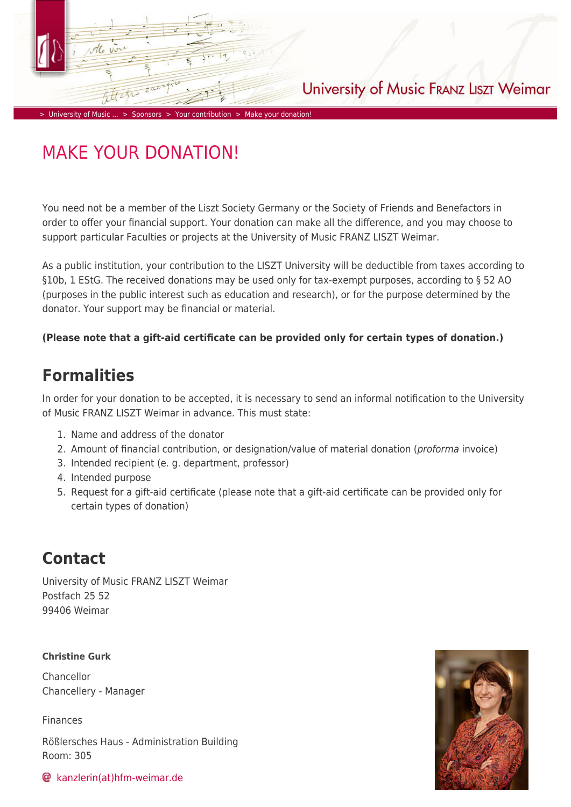# University of Music FRANZ LISZT Weimar

> [University of Music ...](https://www.hfm-weimar.de/start/?L=1) > [Sponsors](https://www.hfm-weimar.de/sponsors/?L=1) > [Your contribution](https://www.hfm-weimar.de/sponsors/your-contribution/society-of-friends-and-benefactors/?L=1) > [Make your donation!](https://www.hfm-weimar.de/sponsors/your-contribution/make-your-donation/?L=1)

# MAKE YOUR DONATION!

You need not be a member of the Liszt Society Germany or the Society of Friends and Benefactors in order to offer your financial support. Your donation can make all the difference, and you may choose to support particular Faculties or projects at the University of Music FRANZ LISZT Weimar.

As a public institution, your contribution to the LISZT University will be deductible from taxes according to §10b, 1 EStG. The received donations may be used only for tax-exempt purposes, according to § 52 AO (purposes in the public interest such as education and research), or for the purpose determined by the donator. Your support may be financial or material.

### **(Please note that a gift-aid certificate can be provided only for certain types of donation.)**

### **Formalities**

In order for your donation to be accepted, it is necessary to send an informal notification to the University of Music FRANZ LISZT Weimar in advance. This must state:

- 1. Name and address of the donator
- 2. Amount of financial contribution, or designation/value of material donation (*proforma* invoice)
- 3. Intended recipient (e. g. department, professor)
- 4. Intended purpose
- 5. Request for a gift-aid certificate (please note that a gift-aid certificate can be provided only for certain types of donation)

## **Contact**

University of Music FRANZ LISZT Weimar Postfach 25 52 99406 Weimar

### **Christine Gurk**

Chancellor Chancellery - Manager

Finances

Rößlersches Haus - Administration Building Room: 305

[kanzlerin\(at\)hfm-weimar.de](https://www.hfm-weimar.de/javascript:linkTo_UnCryptMailto()